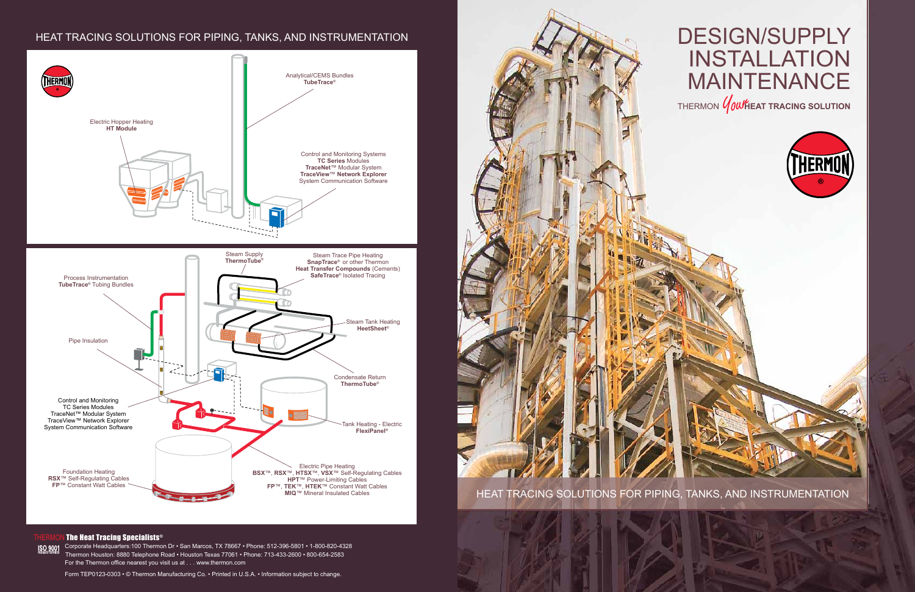Corporate Headquarters:100 Thermon Dr • San Marcos, TX 78667 • Phone: 512-396-5801 • 1-800-820-4328 Thermon Houston: 8880 Telephone Road • Houston Texas 77061 • Phone: 713-433-2600 • 800-654-2583 For the Thermon office nearest you visit us at . . . www.thermon.com



Form TEP0123-0303 • © Thermon Manufacturing Co. • Printed in U.S.A. • Information subject to change.

## HEAT TRACING SOLUTIONS FOR PIPING, TANKS, AND INSTRUMENTATION





## The Heat Tracing Specialists®